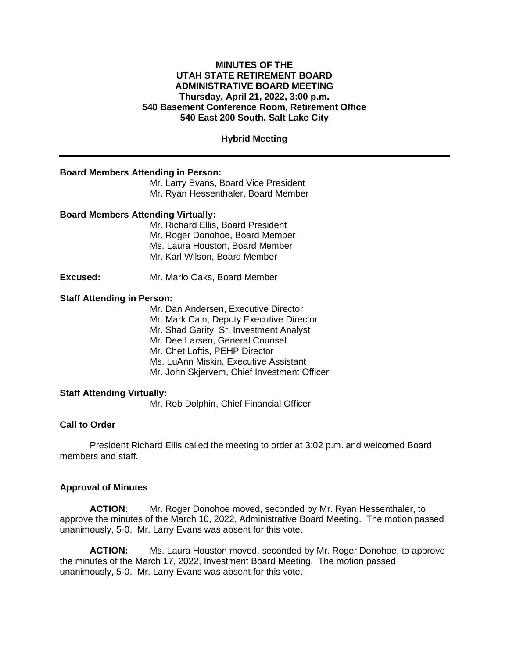## **MINUTES OF THE UTAH STATE RETIREMENT BOARD ADMINISTRATIVE BOARD MEETING Thursday, April 21, 2022, 3:00 p.m. 540 Basement Conference Room, Retirement Office 540 East 200 South, Salt Lake City**

# **Hybrid Meeting**

## **Board Members Attending in Person:**

Mr. Larry Evans, Board Vice President Mr. Ryan Hessenthaler, Board Member

#### **Board Members Attending Virtually:**

Mr. Richard Ellis, Board President Mr. Roger Donohoe, Board Member Ms. Laura Houston, Board Member Mr. Karl Wilson, Board Member

**Excused:** Mr. Marlo Oaks, Board Member

## **Staff Attending in Person:**

Mr. Dan Andersen, Executive Director Mr. Mark Cain, Deputy Executive Director Mr. Shad Garity, Sr. Investment Analyst Mr. Dee Larsen, General Counsel Mr. Chet Loftis, PEHP Director Ms. LuAnn Miskin, Executive Assistant Mr. John Skjervem, Chief Investment Officer

## **Staff Attending Virtually:**

Mr. Rob Dolphin, Chief Financial Officer

# **Call to Order**

President Richard Ellis called the meeting to order at 3:02 p.m. and welcomed Board members and staff.

#### **Approval of Minutes**

**ACTION:** Mr. Roger Donohoe moved, seconded by Mr. Ryan Hessenthaler, to approve the minutes of the March 10, 2022, Administrative Board Meeting. The motion passed unanimously, 5-0. Mr. Larry Evans was absent for this vote.

**ACTION:** Ms. Laura Houston moved, seconded by Mr. Roger Donohoe, to approve the minutes of the March 17, 2022, Investment Board Meeting. The motion passed unanimously, 5-0. Mr. Larry Evans was absent for this vote.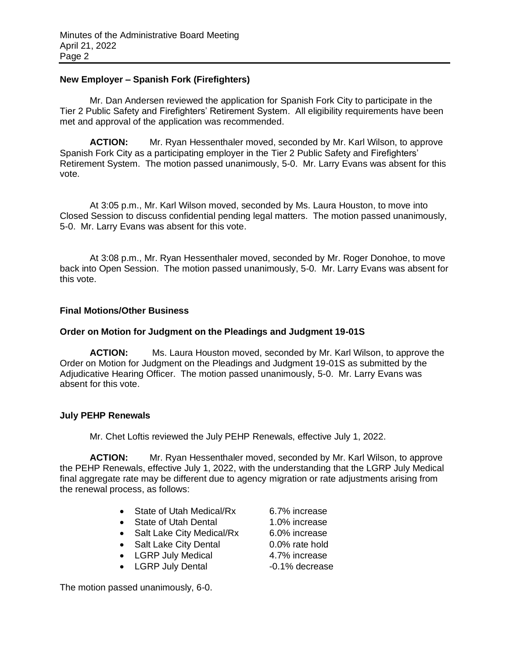## **New Employer – Spanish Fork (Firefighters)**

Mr. Dan Andersen reviewed the application for Spanish Fork City to participate in the Tier 2 Public Safety and Firefighters' Retirement System. All eligibility requirements have been met and approval of the application was recommended.

**ACTION:** Mr. Ryan Hessenthaler moved, seconded by Mr. Karl Wilson, to approve Spanish Fork City as a participating employer in the Tier 2 Public Safety and Firefighters' Retirement System. The motion passed unanimously, 5-0. Mr. Larry Evans was absent for this vote.

At 3:05 p.m., Mr. Karl Wilson moved, seconded by Ms. Laura Houston, to move into Closed Session to discuss confidential pending legal matters. The motion passed unanimously, 5-0. Mr. Larry Evans was absent for this vote.

At 3:08 p.m., Mr. Ryan Hessenthaler moved, seconded by Mr. Roger Donohoe, to move back into Open Session. The motion passed unanimously, 5-0. Mr. Larry Evans was absent for this vote.

# **Final Motions/Other Business**

# **Order on Motion for Judgment on the Pleadings and Judgment 19-01S**

**ACTION:** Ms. Laura Houston moved, seconded by Mr. Karl Wilson, to approve the Order on Motion for Judgment on the Pleadings and Judgment 19-01S as submitted by the Adjudicative Hearing Officer. The motion passed unanimously, 5-0. Mr. Larry Evans was absent for this vote.

## **July PEHP Renewals**

Mr. Chet Loftis reviewed the July PEHP Renewals, effective July 1, 2022.

**ACTION:** Mr. Ryan Hessenthaler moved, seconded by Mr. Karl Wilson, to approve the PEHP Renewals, effective July 1, 2022, with the understanding that the LGRP July Medical final aggregate rate may be different due to agency migration or rate adjustments arising from the renewal process, as follows:

- State of Utah Medical/Rx 6.7% increase
- State of Utah Dental 1.0% increase
- Salt Lake City Medical/Rx 6.0% increase
- Salt Lake City Dental 0.0% rate hold
- LGRP July Medical 4.7% increase
- LGRP July Dental -0.1% decrease

The motion passed unanimously, 6-0.